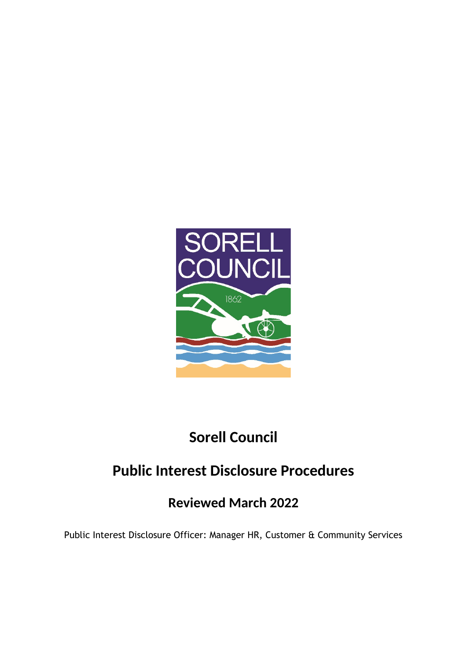

# **Sorell Council**

# **Public Interest Disclosure Procedures**

# **Reviewed March 2022**

Public Interest Disclosure Officer: Manager HR, Customer & Community Services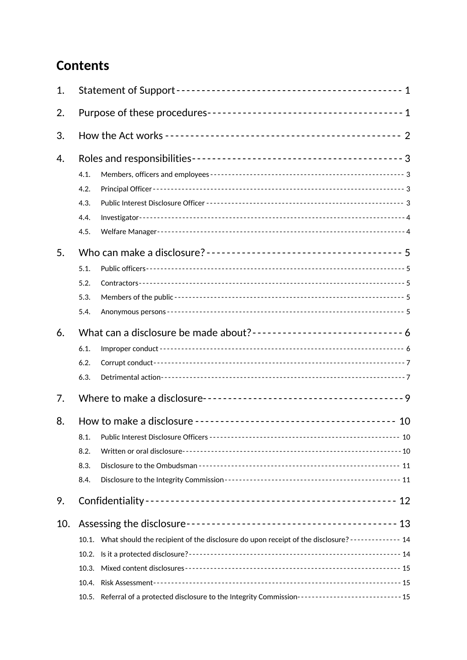# **Contents**

| 1.  |                                                                                                          |  |  |
|-----|----------------------------------------------------------------------------------------------------------|--|--|
| 2.  |                                                                                                          |  |  |
| 3.  |                                                                                                          |  |  |
| 4.  |                                                                                                          |  |  |
|     | 4.1.                                                                                                     |  |  |
|     | 4.2.                                                                                                     |  |  |
|     | 4.3.                                                                                                     |  |  |
|     | 4.4.                                                                                                     |  |  |
|     | 4.5.                                                                                                     |  |  |
| 5.  |                                                                                                          |  |  |
|     | 5.1.                                                                                                     |  |  |
|     | 5.2.                                                                                                     |  |  |
|     | 5.3.                                                                                                     |  |  |
|     | 5.4.                                                                                                     |  |  |
| 6.  | What can a disclosure be made about?-------------------------------- 6                                   |  |  |
|     | 6.1.                                                                                                     |  |  |
|     | 6.2.                                                                                                     |  |  |
|     | 6.3.                                                                                                     |  |  |
| 7.  |                                                                                                          |  |  |
| 8.  | 10                                                                                                       |  |  |
|     | 8.1.                                                                                                     |  |  |
|     | 8.2.                                                                                                     |  |  |
|     | 8.3.                                                                                                     |  |  |
|     | 8.4.                                                                                                     |  |  |
| 9.  |                                                                                                          |  |  |
| 10. |                                                                                                          |  |  |
|     | 10.1. What should the recipient of the disclosure do upon receipt of the disclosure? ------------- 14    |  |  |
|     |                                                                                                          |  |  |
|     | 10.3.                                                                                                    |  |  |
|     | 10.4.                                                                                                    |  |  |
|     | Referral of a protected disclosure to the Integrity Commission------------------------------ 15<br>10.5. |  |  |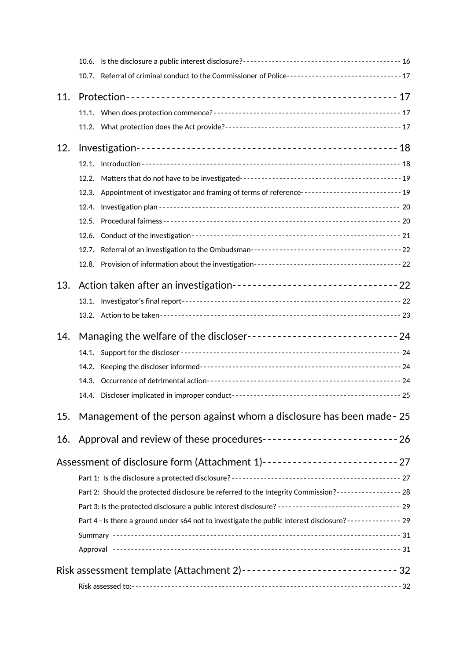|     | 10.7. Referral of criminal conduct to the Commissioner of Police---------------------------------- 17    |  |  |
|-----|----------------------------------------------------------------------------------------------------------|--|--|
| 11. |                                                                                                          |  |  |
|     |                                                                                                          |  |  |
|     |                                                                                                          |  |  |
| 12. |                                                                                                          |  |  |
|     |                                                                                                          |  |  |
|     | 12.2.                                                                                                    |  |  |
|     | 12.3. Appointment of investigator and framing of terms of reference----------------------------- 19      |  |  |
|     |                                                                                                          |  |  |
|     |                                                                                                          |  |  |
|     |                                                                                                          |  |  |
|     |                                                                                                          |  |  |
|     |                                                                                                          |  |  |
| 13. | Action taken after an investigation----------------------------------- 22                                |  |  |
|     |                                                                                                          |  |  |
|     |                                                                                                          |  |  |
| 14. | Managing the welfare of the discloser------------------------------ 24                                   |  |  |
|     |                                                                                                          |  |  |
|     |                                                                                                          |  |  |
|     |                                                                                                          |  |  |
|     |                                                                                                          |  |  |
| 15. | Management of the person against whom a disclosure has been made - 25                                    |  |  |
| 16. | Approval and review of these procedures----------------------------- 26                                  |  |  |
|     | Assessment of disclosure form (Attachment 1)--------------------------- 27                               |  |  |
|     |                                                                                                          |  |  |
|     | Part 2: Should the protected disclosure be referred to the Integrity Commission?----------------- 28     |  |  |
|     | Part 3: Is the protected disclosure a public interest disclosure? --------------------------------- 29   |  |  |
|     | Part 4 - Is there a ground under s64 not to investigate the public interest disclosure?-------------- 29 |  |  |
|     |                                                                                                          |  |  |
|     |                                                                                                          |  |  |
|     |                                                                                                          |  |  |
|     |                                                                                                          |  |  |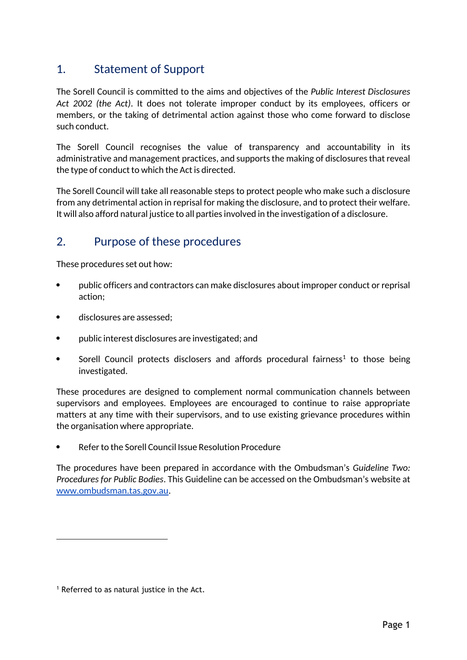## 1. Statement of Support

The Sorell Council is committed to the aims and objectives of the *Public Interest Disclosures Act 2002 (the Act)*. It does not tolerate improper conduct by its employees, officers or members, or the taking of detrimental action against those who come forward to disclose such conduct.

The Sorell Council recognises the value of transparency and accountability in its administrative and management practices, and supports the making of disclosures that reveal the type of conduct to which the Act is directed.

The Sorell Council will take all reasonable steps to protect people who make such a disclosure from any detrimental action in reprisal for making the disclosure, and to protect their welfare. It will also afford natural justice to all parties involved in the investigation of a disclosure.

## 2. Purpose of these procedures

These procedures set out how:

- public officers and contractors can make disclosures about improper conduct or reprisal action;
- disclosures are assessed;
- public interest disclosures are investigated; and
- Sorell Council protects disclosers and affords procedural fairness<sup>1</sup> to those being investigated.

These procedures are designed to complement normal communication channels between supervisors and employees. Employees are encouraged to continue to raise appropriate matters at any time with their supervisors, and to use existing grievance procedures within the organisation where appropriate.

Refer to the Sorell Council Issue Resolution Procedure

The procedures have been prepared in accordance with the Ombudsman's *Guideline Two: Procedures for Public Bodies*. This Guideline can be accessed on the Ombudsman's website at www.ombudsman.tas.gov.au.

<sup>&</sup>lt;sup>1</sup> Referred to as natural justice in the Act.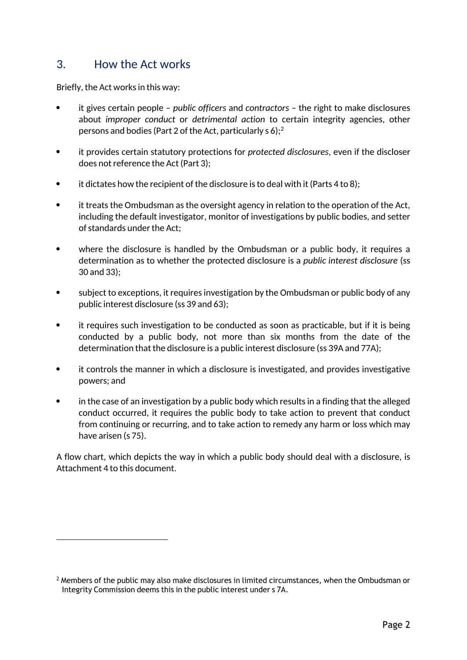## 3. How the Act works

Briefly, the Act works in this way:

- it gives certain people *public officers* and *contractors* the right to make disclosures about *improper conduct* or *detrimental action* to certain integrity agencies, other persons and bodies (Part 2 of the Act, particularly s 6);  $2^2$
- it provides certain statutory protections for *protected disclosures*, even if the discloser does not reference the Act (Part 3);
- $\bullet$  it dictates how the recipient of the disclosure is to deal with it (Parts 4 to 8);
- it treats the Ombudsman as the oversight agency in relation to the operation of the Act, including the default investigator, monitor of investigations by public bodies, and setter of standards under the Act;
- where the disclosure is handled by the Ombudsman or a public body, it requires a determination as to whether the protected disclosure is a *public interest disclosure* (ss 30 and 33);
- subject to exceptions, it requires investigation by the Ombudsman or public body of any public interest disclosure (ss 39 and 63);
- it requires such investigation to be conducted as soon as practicable, but if it is being conducted by a public body, not more than six months from the date of the determination that the disclosure is a public interest disclosure (ss 39A and 77A);
- it controls the manner in which a disclosure is investigated, and provides investigative powers; and
- in the case of an investigation by a public body which results in a finding that the alleged conduct occurred, it requires the public body to take action to prevent that conduct from continuing or recurring, and to take action to remedy any harm or loss which may have arisen (s 75).

A flow chart, which depicts the way in which a public body should deal with a disclosure, is Attachment 4 to this document.

 $2$  Members of the public may also make disclosures in limited circumstances, when the Ombudsman or Integrity Commission deems this in the public interest under s 7A.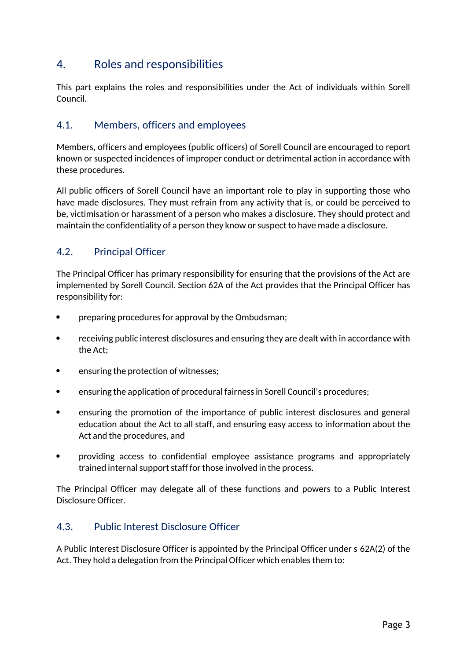## 4. Roles and responsibilities

This part explains the roles and responsibilities under the Act of individuals within Sorell Council.

#### 4.1. Members, officers and employees

Members, officers and employees (public officers) of Sorell Council are encouraged to report known or suspected incidences of improper conduct or detrimental action in accordance with these procedures.

All public officers of Sorell Council have an important role to play in supporting those who have made disclosures. They must refrain from any activity that is, or could be perceived to be, victimisation or harassment of a person who makes a disclosure. They should protect and maintain the confidentiality of a person they know or suspect to have made a disclosure.

### 4.2. Principal Officer

The Principal Officer has primary responsibility for ensuring that the provisions of the Act are implemented by Sorell Council. Section 62A of the Act provides that the Principal Officer has responsibility for:

- preparing procedures for approval by the Ombudsman;
- receiving public interest disclosures and ensuring they are dealt with in accordance with the Act;
- ensuring the protection of witnesses;
- ensuring the application of procedural fairness in Sorell Council's procedures;
- ensuring the promotion of the importance of public interest disclosures and general education about the Act to all staff, and ensuring easy access to information about the Act and the procedures, and
- providing access to confidential employee assistance programs and appropriately trained internal support staff for those involved in the process.

The Principal Officer may delegate all of these functions and powers to a Public Interest Disclosure Officer.

#### 4.3. Public Interest Disclosure Officer

A Public Interest Disclosure Officer is appointed by the Principal Officer under s 62A(2) of the Act. They hold a delegation from the Principal Officer which enables them to: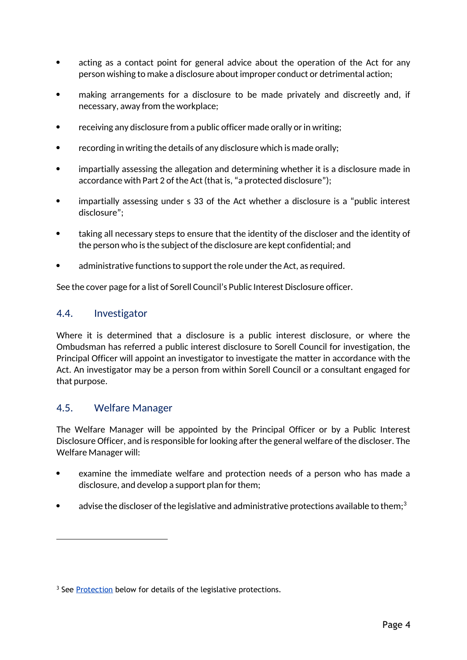- acting as a contact point for general advice about the operation of the Act for any person wishing to make a disclosure about improper conduct or detrimental action;
- making arrangements for a disclosure to be made privately and discreetly and, if necessary, away from the workplace;
- receiving any disclosure from a public officer made orally or in writing;
- recording in writing the details of any disclosure which is made orally;
- impartially assessing the allegation and determining whether it is a disclosure made in accordance with Part 2 of the Act (that is, "a protected disclosure");
- impartially assessing under s 33 of the Act whether a disclosure is a "public interest disclosure";
- taking all necessary steps to ensure that the identity of the discloser and the identity of the person who is the subject of the disclosure are kept confidential; and
- administrative functions to support the role under the Act, as required.

See the cover page for a list of Sorell Council's Public Interest Disclosure officer.

#### 4.4. Investigator

Where it is determined that a disclosure is a public interest disclosure, or where the Ombudsman has referred a public interest disclosure to Sorell Council for investigation, the Principal Officer will appoint an investigator to investigate the matter in accordance with the Act. An investigator may be a person from within Sorell Council or a consultant engaged for that purpose.

#### 4.5. Welfare Manager

The Welfare Manager will be appointed by the Principal Officer or by a Public Interest Disclosure Officer, and is responsible for looking after the general welfare of the discloser. The Welfare Manager will:

- examine the immediate welfare and protection needs of a person who has made a disclosure, and develop a support plan for them;
- advise the discloser of the legislative and administrative protections available to them;<sup>3</sup>

<sup>&</sup>lt;sup>3</sup> See Protection below for details of the legislative protections.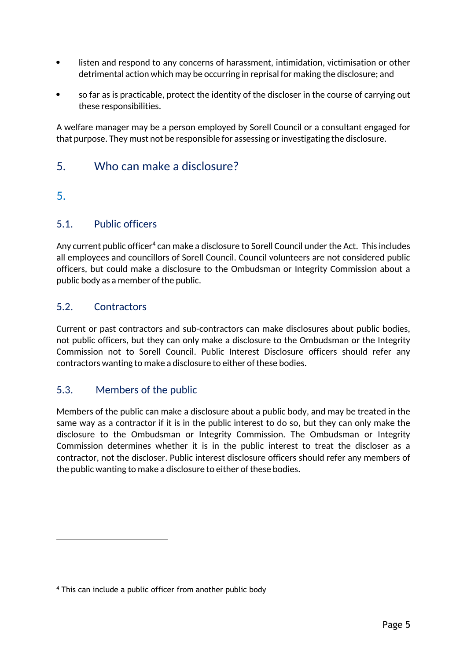- listen and respond to any concerns of harassment, intimidation, victimisation or other detrimental action which may be occurring in reprisal for making the disclosure; and
- so far as is practicable, protect the identity of the discloser in the course of carrying out these responsibilities.

A welfare manager may be a person employed by Sorell Council or a consultant engaged for that purpose. They must not be responsible for assessing or investigating the disclosure.

## 5. Who can make a disclosure?

### 5.

### 5.1. Public officers

Any current public officer $\rm ^4$  can make a disclosure to Sorell Council under the Act. This includes all employees and councillors of Sorell Council. Council volunteers are not considered public officers, but could make a disclosure to the Ombudsman or Integrity Commission about a public body as a member of the public.

### 5.2. Contractors

Current or past contractors and sub-contractors can make disclosures about public bodies, not public officers, but they can only make a disclosure to the Ombudsman or the Integrity Commission not to Sorell Council. Public Interest Disclosure officers should refer any contractors wanting to make a disclosure to either of these bodies.

### 5.3. Members of the public

Members of the public can make a disclosure about a public body, and may be treated in the same way as a contractor if it is in the public interest to do so, but they can only make the disclosure to the Ombudsman or Integrity Commission. The Ombudsman or Integrity Commission determines whether it is in the public interest to treat the discloser as a contractor, not the discloser. Public interest disclosure officers should refer any members of the public wanting to make a disclosure to either of these bodies.

<sup>4</sup> This can include a public officer from another public body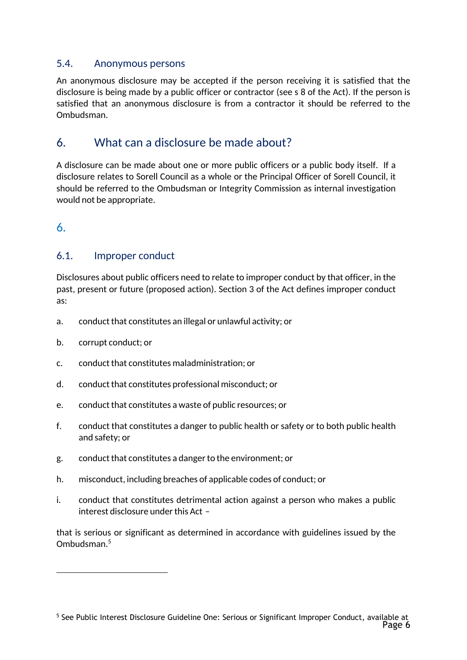#### 5.4. Anonymous persons

An anonymous disclosure may be accepted if the person receiving it is satisfied that the disclosure is being made by a public officer or contractor (see s 8 of the Act). If the person is satisfied that an anonymous disclosure is from a contractor it should be referred to the Ombudsman.

## 6. What can a disclosure be made about?

A disclosure can be made about one or more public officers or a public body itself. If a disclosure relates to Sorell Council as a whole or the Principal Officer of Sorell Council, it should be referred to the Ombudsman or Integrity Commission as internal investigation would not be appropriate.

6.

### 6.1. Improper conduct

Disclosures about public officers need to relate to improper conduct by that officer, in the past, present or future (proposed action). Section 3 of the Act defines improper conduct as:

- a. conduct that constitutes an illegal or unlawful activity; or
- b. corrupt conduct; or
- c. conduct that constitutes maladministration; or
- d. conduct that constitutes professional misconduct; or
- e. conduct that constitutes a waste of public resources; or
- f. conduct that constitutes a danger to public health or safety or to both public health and safety; or
- g. conduct that constitutes a danger to the environment; or
- h. misconduct, including breaches of applicable codes of conduct; or
- i. conduct that constitutes detrimental action against a person who makes a public interest disclosure under this Act –

that is serious or significant as determined in accordance with guidelines issued by the Ombudsman.5

Page 6 <sup>5</sup> See Public Interest Disclosure Guideline One: Serious or Significant Improper Conduct, available at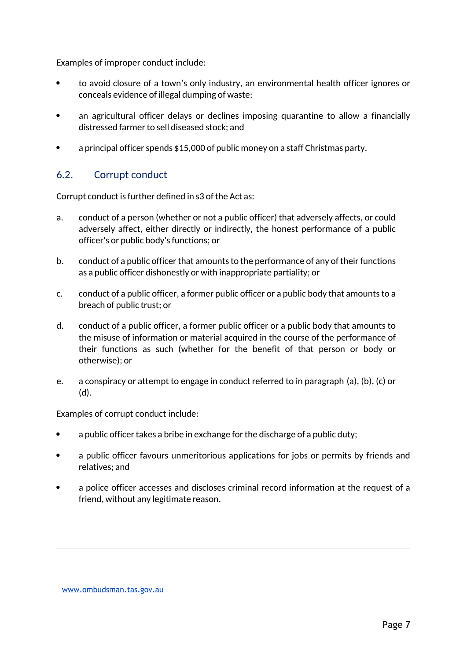Examples of improper conduct include:

- to avoid closure of a town's only industry, an environmental health officer ignores or conceals evidence of illegal dumping of waste;
- an agricultural officer delays or declines imposing quarantine to allow a financially distressed farmer to sell diseased stock; and
- a principal officer spends \$15,000 of public money on a staff Christmas party.

#### 6.2. Corrupt conduct

Corrupt conduct is further defined in s3 of the Act as:

- a. conduct of a person (whether or not a public officer) that adversely affects, or could adversely affect, either directly or indirectly, the honest performance of a public officer's or public body's functions; or
- b. conduct of a public officer that amounts to the performance of any of their functions as a public officer dishonestly or with inappropriate partiality; or
- c. conduct of a public officer, a former public officer or a public body that amounts to a breach of public trust; or
- d. conduct of a public officer, a former public officer or a public body that amounts to the misuse of information or material acquired in the course of the performance of their functions as such (whether for the benefit of that person or body or otherwise); or
- e. a conspiracy or attempt to engage in conduct referred to in paragraph (a), (b), (c) or (d).

Examples of corrupt conduct include:

- a public officer takes a bribe in exchange for the discharge of a public duty;
- a public officer favours unmeritorious applications for jobs or permits by friends and relatives; and
- a police officer accesses and discloses criminal record information at the request of a friend, without any legitimate reason.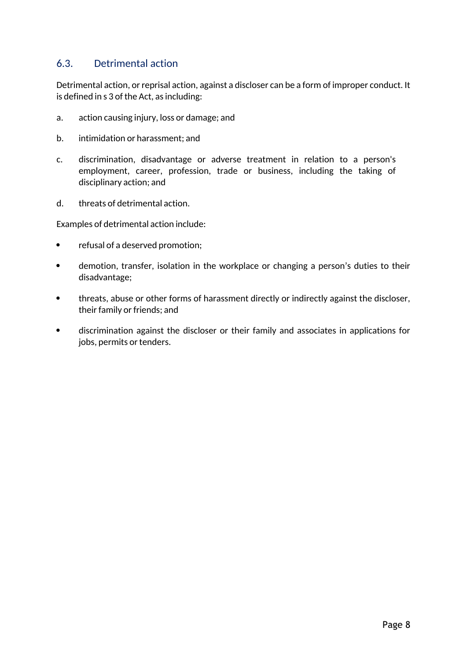### 6.3. Detrimental action

Detrimental action, or reprisal action, against a discloser can be a form of improper conduct. It is defined in s 3 of the Act, as including:

- a. action causing injury, loss or damage; and
- b. intimidation or harassment; and
- c. discrimination, disadvantage or adverse treatment in relation to a person's employment, career, profession, trade or business, including the taking of disciplinary action; and
- d. threats of detrimental action.

Examples of detrimental action include:

- refusal of a deserved promotion:
- demotion, transfer, isolation in the workplace or changing a person's duties to their disadvantage;
- threats, abuse or other forms of harassment directly or indirectly against the discloser, their family or friends; and
- discrimination against the discloser or their family and associates in applications for jobs, permits or tenders.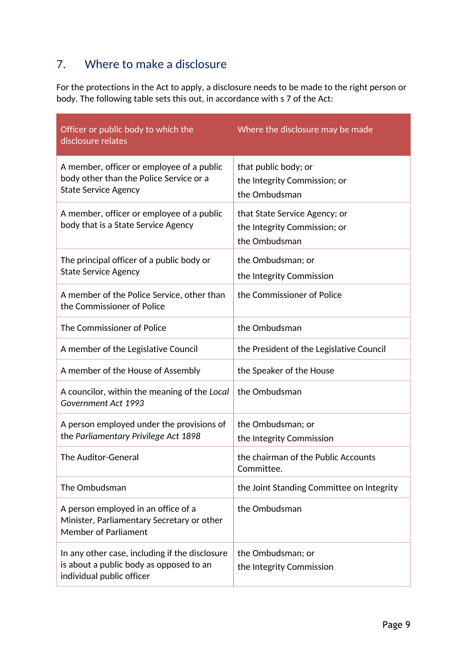## 7. Where to make a disclosure

For the protections in the Act to apply, a disclosure needs to be made to the right person or body. The following table sets this out, in accordance with s 7 of the Act:

| Officer or public body to which the<br>disclosure relates                                                              | Where the disclosure may be made                                               |
|------------------------------------------------------------------------------------------------------------------------|--------------------------------------------------------------------------------|
| A member, officer or employee of a public<br>body other than the Police Service or a<br><b>State Service Agency</b>    | that public body; or<br>the Integrity Commission; or<br>the Ombudsman          |
| A member, officer or employee of a public<br>body that is a State Service Agency                                       | that State Service Agency; or<br>the Integrity Commission; or<br>the Ombudsman |
| The principal officer of a public body or<br><b>State Service Agency</b>                                               | the Ombudsman; or<br>the Integrity Commission                                  |
| A member of the Police Service, other than<br>the Commissioner of Police                                               | the Commissioner of Police                                                     |
| The Commissioner of Police                                                                                             | the Ombudsman                                                                  |
| A member of the Legislative Council                                                                                    | the President of the Legislative Council                                       |
| A member of the House of Assembly                                                                                      | the Speaker of the House                                                       |
| A councilor, within the meaning of the Local<br>Government Act 1993                                                    | the Ombudsman                                                                  |
| A person employed under the provisions of<br>the Parliamentary Privilege Act 1898                                      | the Ombudsman; or<br>the Integrity Commission                                  |
| The Auditor-General                                                                                                    | the chairman of the Public Accounts<br>Committee.                              |
| The Ombudsman                                                                                                          | the Joint Standing Committee on Integrity                                      |
| A person employed in an office of a<br>Minister, Parliamentary Secretary or other<br><b>Member of Parliament</b>       | the Ombudsman                                                                  |
| In any other case, including if the disclosure<br>is about a public body as opposed to an<br>individual public officer | the Ombudsman; or<br>the Integrity Commission                                  |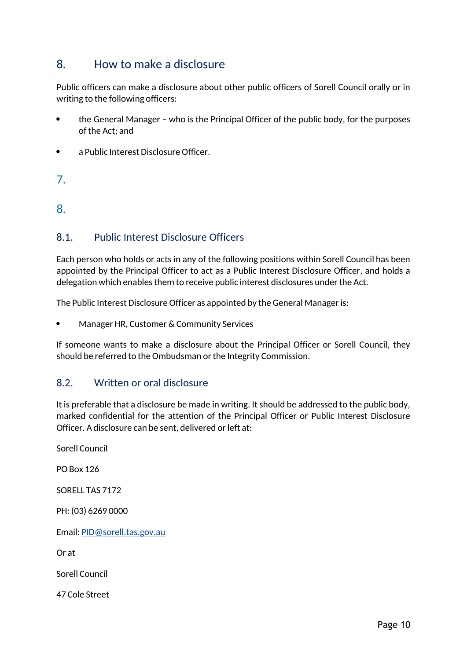## 8. How to make a disclosure

Public officers can make a disclosure about other public officers of Sorell Council orally or in writing to the following officers:

- the General Manager who is the Principal Officer of the public body, for the purposes of the Act; and
- a Public Interest Disclosure Officer.
- 7.

8.

### 8.1. Public Interest Disclosure Officers

Each person who holds or acts in any of the following positions within Sorell Council has been appointed by the Principal Officer to act as a Public Interest Disclosure Officer, and holds a delegation which enables them to receive public interest disclosures under the Act.

The Public Interest Disclosure Officer as appointed by the General Manager is:

Manager HR, Customer & Community Services

If someone wants to make a disclosure about the Principal Officer or Sorell Council, they should be referred to the Ombudsman or the Integrity Commission.

#### 8.2. Written or oral disclosure

It is preferable that a disclosure be made in writing. It should be addressed to the public body, marked confidential for the attention of the Principal Officer or Public Interest Disclosure Officer. A disclosure can be sent, delivered or left at:

Sorell Council

PO Box 126

SORELL TAS 7172

PH: (03) 6269 0000

Email: PID@sorell.tas.gov.au

Or at

Sorell Council

47 Cole Street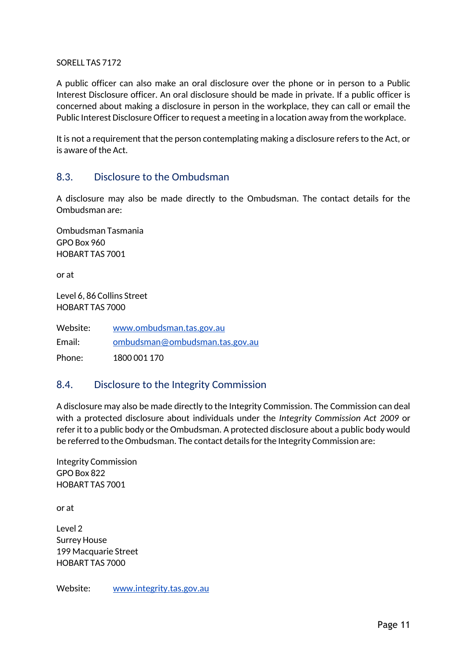#### SORELL TAS 7172

A public officer can also make an oral disclosure over the phone or in person to a Public Interest Disclosure officer. An oral disclosure should be made in private. If a public officer is concerned about making a disclosure in person in the workplace, they can call or email the Public Interest Disclosure Officer to request a meeting in a location away from the workplace.

It is not a requirement that the person contemplating making a disclosure refers to the Act, or is aware of the Act.

#### 8.3. Disclosure to the Ombudsman

A disclosure may also be made directly to the Ombudsman. The contact details for the Ombudsman are:

Ombudsman Tasmania GPO Box 960 HOBART TAS 7001

or at

Level 6, 86 Collins Street HOBART TAS 7000

Website: www.ombudsman.tas.gov.au Email: ombudsman@ombudsman.tas.gov.au Phone: 1800 001 170

#### 8.4. Disclosure to the Integrity Commission

A disclosure may also be made directly to the Integrity Commission. The Commission can deal with a protected disclosure about individuals under the *Integrity Commission Act 2009* or refer it to a public body or the Ombudsman. A protected disclosure about a public body would be referred to the Ombudsman. The contact details for the Integrity Commission are:

Integrity Commission GPO Box 822 HOBART TAS 7001

or at

Level 2 Surrey House 199 Macquarie Street HOBART TAS 7000

Website: www.integrity.tas.gov.au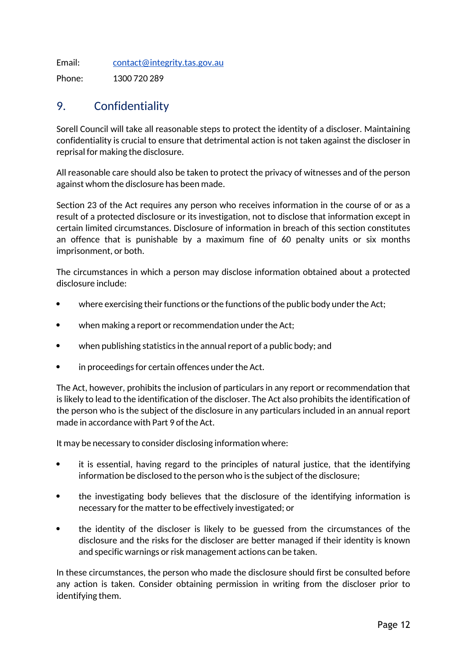Email: contact@integrity.tas.gov.au

Phone: 1300 720 289

## 9. Confidentiality

Sorell Council will take all reasonable steps to protect the identity of a discloser. Maintaining confidentiality is crucial to ensure that detrimental action is not taken against the discloser in reprisal for making the disclosure.

All reasonable care should also be taken to protect the privacy of witnesses and of the person against whom the disclosure has been made.

Section 23 of the Act requires any person who receives information in the course of or as a result of a protected disclosure or its investigation, not to disclose that information except in certain limited circumstances. Disclosure of information in breach of this section constitutes an offence that is punishable by a maximum fine of 60 penalty units or six months imprisonment, or both.

The circumstances in which a person may disclose information obtained about a protected disclosure include:

- where exercising their functions or the functions of the public body under the Act;
- when making a report or recommendation under the Act;
- when publishing statistics in the annual report of a public body; and
- in proceedings for certain offences under the Act.

The Act, however, prohibits the inclusion of particulars in any report or recommendation that is likely to lead to the identification of the discloser. The Act also prohibits the identification of the person who is the subject of the disclosure in any particulars included in an annual report made in accordance with Part 9 of the Act.

It may be necessary to consider disclosing information where:

- it is essential, having regard to the principles of natural justice, that the identifying information be disclosed to the person who is the subject of the disclosure;
- the investigating body believes that the disclosure of the identifying information is necessary for the matter to be effectively investigated; or
- the identity of the discloser is likely to be guessed from the circumstances of the disclosure and the risks for the discloser are better managed if their identity is known and specific warnings or risk management actions can be taken.

In these circumstances, the person who made the disclosure should first be consulted before any action is taken. Consider obtaining permission in writing from the discloser prior to identifying them.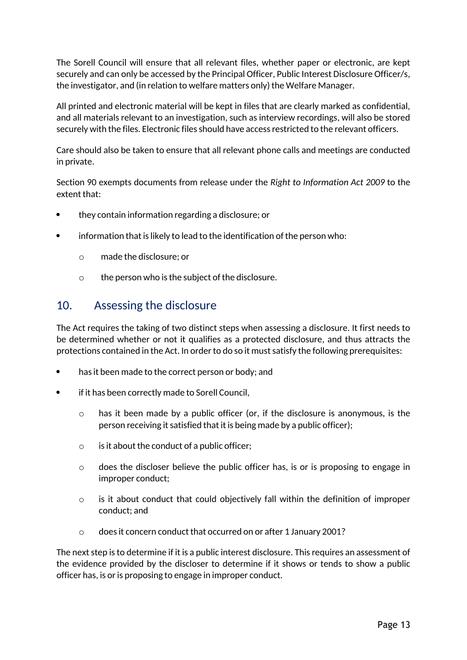The Sorell Council will ensure that all relevant files, whether paper or electronic, are kept securely and can only be accessed by the Principal Officer, Public Interest Disclosure Officer/s, the investigator, and (in relation to welfare matters only) the Welfare Manager.

All printed and electronic material will be kept in files that are clearly marked as confidential, and all materials relevant to an investigation, such as interview recordings, will also be stored securely with the files. Electronic files should have access restricted to the relevant officers.

Care should also be taken to ensure that all relevant phone calls and meetings are conducted in private.

Section 90 exempts documents from release under the *Right to Information Act 2009* to the extent that:

- they contain information regarding a disclosure; or
- information that is likely to lead to the identification of the person who:
	- o made the disclosure; or
	- o the person who is the subject of the disclosure.

## 10. Assessing the disclosure

The Act requires the taking of two distinct steps when assessing a disclosure. It first needs to be determined whether or not it qualifies as a protected disclosure, and thus attracts the protections contained in the Act. In order to do so it must satisfy the following prerequisites:

- has it been made to the correct person or body; and
- if it has been correctly made to Sorell Council,
	- $\circ$  has it been made by a public officer (or, if the disclosure is anonymous, is the person receiving it satisfied that it is being made by a public officer);
	- $\circ$  is it about the conduct of a public officer;
	- o does the discloser believe the public officer has, is or is proposing to engage in improper conduct;
	- $\circ$  is it about conduct that could objectively fall within the definition of improper conduct; and
	- o does it concern conduct that occurred on or after 1 January 2001?

The next step is to determine if it is a public interest disclosure. This requires an assessment of the evidence provided by the discloser to determine if it shows or tends to show a public officer has, is or is proposing to engage in improper conduct.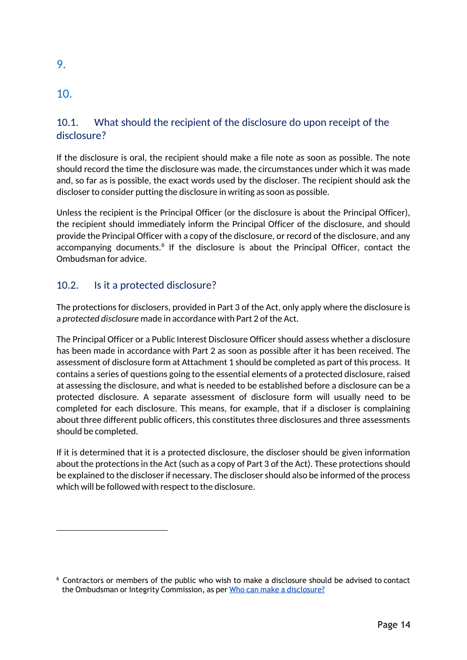## 10.

9.

## 10.1. What should the recipient of the disclosure do upon receipt of the disclosure?

If the disclosure is oral, the recipient should make a file note as soon as possible. The note should record the time the disclosure was made, the circumstances under which it was made and, so far as is possible, the exact words used by the discloser. The recipient should ask the discloser to consider putting the disclosure in writing as soon as possible.

Unless the recipient is the Principal Officer (or the disclosure is about the Principal Officer), the recipient should immediately inform the Principal Officer of the disclosure, and should provide the Principal Officer with a copy of the disclosure, or record of the disclosure, and any accompanying documents.<sup>6</sup> If the disclosure is about the Principal Officer, contact the Ombudsman for advice.

## 10.2. Is it a protected disclosure?

The protections for disclosers, provided in Part 3 of the Act, only apply where the disclosure is a *protected disclosure* made in accordance with Part 2 of the Act.

The Principal Officer or a Public Interest Disclosure Officer should assess whether a disclosure has been made in accordance with Part 2 as soon as possible after it has been received. The assessment of disclosure form at Attachment 1 should be completed as part of this process. It contains a series of questions going to the essential elements of a protected disclosure, raised at assessing the disclosure, and what is needed to be established before a disclosure can be a protected disclosure. A separate assessment of disclosure form will usually need to be completed for each disclosure. This means, for example, that if a discloser is complaining about three different public officers, this constitutes three disclosures and three assessments should be completed.

If it is determined that it is a protected disclosure, the discloser should be given information about the protections in the Act (such as a copy of Part 3 of the Act). These protections should be explained to the discloser if necessary. The discloser should also be informed of the process which will be followed with respect to the disclosure.

<sup>6</sup> Contractors or members of the public who wish to make a disclosure should be advised to contact the Ombudsman or Integrity Commission, as per Who can make a disclosure?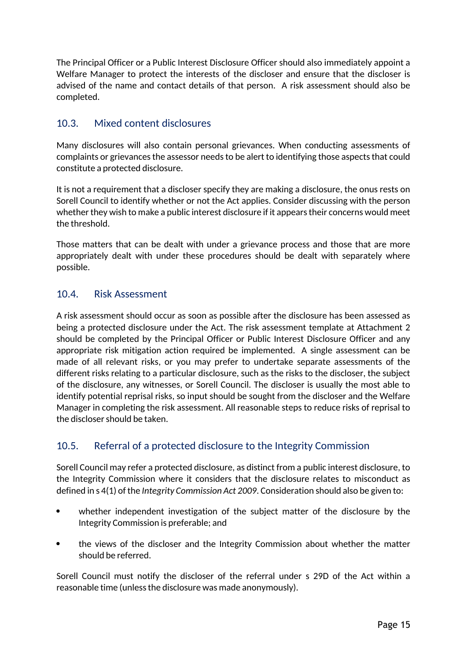The Principal Officer or a Public Interest Disclosure Officer should also immediately appoint a Welfare Manager to protect the interests of the discloser and ensure that the discloser is advised of the name and contact details of that person. A risk assessment should also be completed.

### 10.3. Mixed content disclosures

Many disclosures will also contain personal grievances. When conducting assessments of complaints or grievances the assessor needs to be alert to identifying those aspects that could constitute a protected disclosure.

It is not a requirement that a discloser specify they are making a disclosure, the onus rests on Sorell Council to identify whether or not the Act applies. Consider discussing with the person whether they wish to make a public interest disclosure if it appears their concerns would meet the threshold.

Those matters that can be dealt with under a grievance process and those that are more appropriately dealt with under these procedures should be dealt with separately where possible.

#### 10.4. Risk Assessment

A risk assessment should occur as soon as possible after the disclosure has been assessed as being a protected disclosure under the Act. The risk assessment template at Attachment 2 should be completed by the Principal Officer or Public Interest Disclosure Officer and any appropriate risk mitigation action required be implemented. A single assessment can be made of all relevant risks, or you may prefer to undertake separate assessments of the different risks relating to a particular disclosure, such as the risks to the discloser, the subject of the disclosure, any witnesses, or Sorell Council. The discloser is usually the most able to identify potential reprisal risks, so input should be sought from the discloser and the Welfare Manager in completing the risk assessment. All reasonable steps to reduce risks of reprisal to the discloser should be taken.

### 10.5. Referral of a protected disclosure to the Integrity Commission

Sorell Council may refer a protected disclosure, as distinct from a public interest disclosure, to the Integrity Commission where it considers that the disclosure relates to misconduct as defined in s 4(1) of the *Integrity Commission Act 2009*. Consideration should also be given to:

- whether independent investigation of the subject matter of the disclosure by the Integrity Commission is preferable; and
- the views of the discloser and the Integrity Commission about whether the matter should be referred.

Sorell Council must notify the discloser of the referral under s 29D of the Act within a reasonable time (unless the disclosure was made anonymously).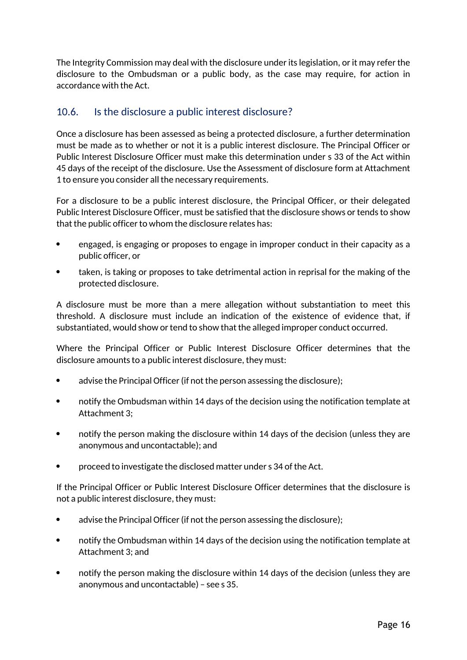The Integrity Commission may deal with the disclosure under its legislation, or it may refer the disclosure to the Ombudsman or a public body, as the case may require, for action in accordance with the Act.

### 10.6. Is the disclosure a public interest disclosure?

Once a disclosure has been assessed as being a protected disclosure, a further determination must be made as to whether or not it is a public interest disclosure. The Principal Officer or Public Interest Disclosure Officer must make this determination under s 33 of the Act within 45 days of the receipt of the disclosure. Use the Assessment of disclosure form at Attachment 1 to ensure you consider all the necessary requirements.

For a disclosure to be a public interest disclosure, the Principal Officer, or their delegated Public Interest Disclosure Officer, must be satisfied that the disclosure shows or tends to show that the public officer to whom the disclosure relates has:

- engaged, is engaging or proposes to engage in improper conduct in their capacity as a public officer, or
- taken, is taking or proposes to take detrimental action in reprisal for the making of the protected disclosure.

A disclosure must be more than a mere allegation without substantiation to meet this threshold. A disclosure must include an indication of the existence of evidence that, if substantiated, would show or tend to show that the alleged improper conduct occurred.

Where the Principal Officer or Public Interest Disclosure Officer determines that the disclosure amounts to a public interest disclosure, they must:

- advise the Principal Officer (if not the person assessing the disclosure);
- notify the Ombudsman within 14 days of the decision using the notification template at Attachment 3;
- notify the person making the disclosure within 14 days of the decision (unless they are anonymous and uncontactable); and
- proceed to investigate the disclosed matter under s 34 of the Act.

If the Principal Officer or Public Interest Disclosure Officer determines that the disclosure is not a public interest disclosure, they must:

- advise the Principal Officer (if not the person assessing the disclosure);
- notify the Ombudsman within 14 days of the decision using the notification template at Attachment 3; and
- notify the person making the disclosure within 14 days of the decision (unless they are anonymous and uncontactable) – see s 35.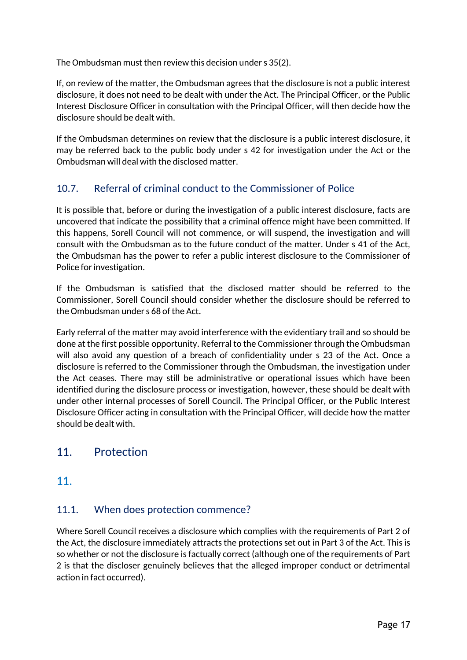The Ombudsman must then review this decision under s 35(2).

If, on review of the matter, the Ombudsman agrees that the disclosure is not a public interest disclosure, it does not need to be dealt with under the Act. The Principal Officer, or the Public Interest Disclosure Officer in consultation with the Principal Officer, will then decide how the disclosure should be dealt with.

If the Ombudsman determines on review that the disclosure is a public interest disclosure, it may be referred back to the public body under s 42 for investigation under the Act or the Ombudsman will deal with the disclosed matter.

## 10.7. Referral of criminal conduct to the Commissioner of Police

It is possible that, before or during the investigation of a public interest disclosure, facts are uncovered that indicate the possibility that a criminal offence might have been committed. If this happens, Sorell Council will not commence, or will suspend, the investigation and will consult with the Ombudsman as to the future conduct of the matter. Under s 41 of the Act, the Ombudsman has the power to refer a public interest disclosure to the Commissioner of Police for investigation.

If the Ombudsman is satisfied that the disclosed matter should be referred to the Commissioner, Sorell Council should consider whether the disclosure should be referred to the Ombudsman under s 68 of the Act.

Early referral of the matter may avoid interference with the evidentiary trail and so should be done at the first possible opportunity. Referral to the Commissioner through the Ombudsman will also avoid any question of a breach of confidentiality under s 23 of the Act. Once a disclosure is referred to the Commissioner through the Ombudsman, the investigation under the Act ceases. There may still be administrative or operational issues which have been identified during the disclosure process or investigation, however, these should be dealt with under other internal processes of Sorell Council. The Principal Officer, or the Public Interest Disclosure Officer acting in consultation with the Principal Officer, will decide how the matter should be dealt with.

## 11. Protection

11.

## 11.1. When does protection commence?

Where Sorell Council receives a disclosure which complies with the requirements of Part 2 of the Act, the disclosure immediately attracts the protections set out in Part 3 of the Act. This is so whether or not the disclosure is factually correct (although one of the requirements of Part 2 is that the discloser genuinely believes that the alleged improper conduct or detrimental action in fact occurred).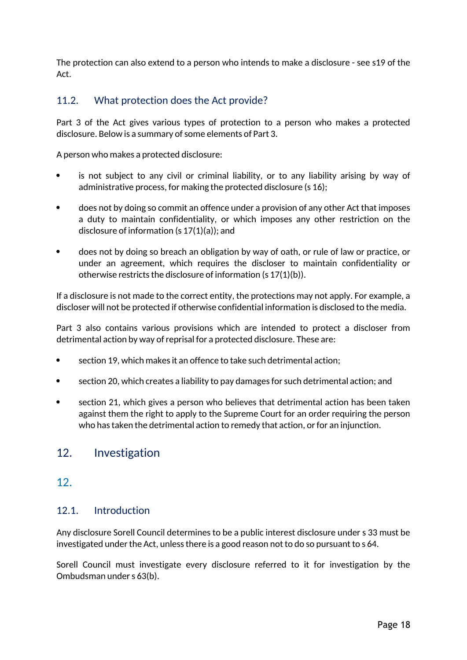The protection can also extend to a person who intends to make a disclosure - see s19 of the Act.

### 11.2. What protection does the Act provide?

Part 3 of the Act gives various types of protection to a person who makes a protected disclosure. Below is a summary of some elements of Part 3.

A person who makes a protected disclosure:

- is not subject to any civil or criminal liability, or to any liability arising by way of administrative process, for making the protected disclosure (s 16);
- does not by doing so commit an offence under a provision of any other Act that imposes a duty to maintain confidentiality, or which imposes any other restriction on the disclosure of information (s 17(1)(a)); and
- does not by doing so breach an obligation by way of oath, or rule of law or practice, or under an agreement, which requires the discloser to maintain confidentiality or otherwise restricts the disclosure of information (s 17(1)(b)).

If a disclosure is not made to the correct entity, the protections may not apply. For example, a discloser will not be protected if otherwise confidential information is disclosed to the media.

Part 3 also contains various provisions which are intended to protect a discloser from detrimental action by way of reprisal for a protected disclosure. These are:

- section 19, which makes it an offence to take such detrimental action;
- section 20, which creates a liability to pay damages for such detrimental action; and
- section 21, which gives a person who believes that detrimental action has been taken against them the right to apply to the Supreme Court for an order requiring the person who has taken the detrimental action to remedy that action, or for an injunction.

## 12. Investigation

### 12.

#### 12.1. Introduction

Any disclosure Sorell Council determines to be a public interest disclosure under s 33 must be investigated under the Act, unless there is a good reason not to do so pursuant to s 64.

Sorell Council must investigate every disclosure referred to it for investigation by the Ombudsman under s 63(b).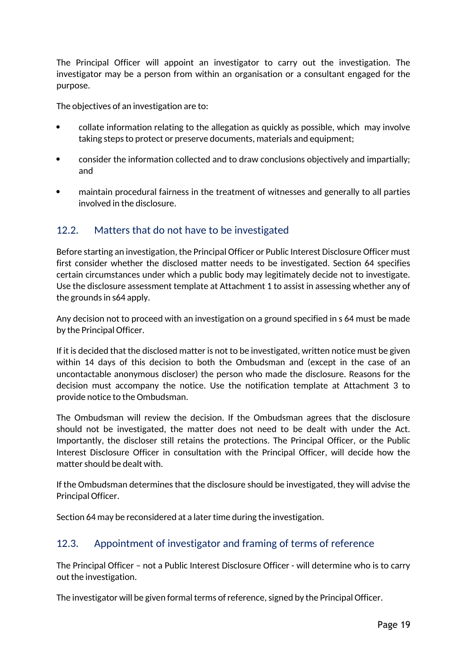The Principal Officer will appoint an investigator to carry out the investigation. The investigator may be a person from within an organisation or a consultant engaged for the purpose.

The objectives of an investigation are to:

- collate information relating to the allegation as quickly as possible, which may involve taking steps to protect or preserve documents, materials and equipment;
- consider the information collected and to draw conclusions objectively and impartially; and
- maintain procedural fairness in the treatment of witnesses and generally to all parties involved in the disclosure.

### 12.2. Matters that do not have to be investigated

Before starting an investigation, the Principal Officer or Public Interest Disclosure Officer must first consider whether the disclosed matter needs to be investigated. Section 64 specifies certain circumstances under which a public body may legitimately decide not to investigate. Use the disclosure assessment template at Attachment 1 to assist in assessing whether any of the grounds in s64 apply.

Any decision not to proceed with an investigation on a ground specified in s 64 must be made by the Principal Officer.

If it is decided that the disclosed matter is not to be investigated, written notice must be given within 14 days of this decision to both the Ombudsman and (except in the case of an uncontactable anonymous discloser) the person who made the disclosure. Reasons for the decision must accompany the notice. Use the notification template at Attachment 3 to provide notice to the Ombudsman.

The Ombudsman will review the decision. If the Ombudsman agrees that the disclosure should not be investigated, the matter does not need to be dealt with under the Act. Importantly, the discloser still retains the protections. The Principal Officer, or the Public Interest Disclosure Officer in consultation with the Principal Officer, will decide how the matter should be dealt with.

If the Ombudsman determines that the disclosure should be investigated, they will advise the Principal Officer.

Section 64 may be reconsidered at a later time during the investigation.

#### 12.3. Appointment of investigator and framing of terms of reference

The Principal Officer – not a Public Interest Disclosure Officer - will determine who is to carry out the investigation.

The investigator will be given formal terms of reference, signed by the Principal Officer.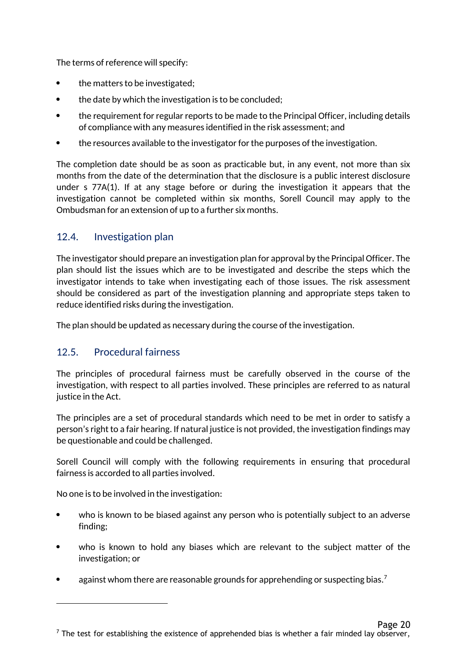The terms of reference will specify:

- the matters to be investigated;
- the date by which the investigation is to be concluded;
- the requirement for regular reports to be made to the Principal Officer, including details of compliance with any measures identified in the risk assessment; and
- the resources available to the investigator for the purposes of the investigation.

The completion date should be as soon as practicable but, in any event, not more than six months from the date of the determination that the disclosure is a public interest disclosure under s 77A(1). If at any stage before or during the investigation it appears that the investigation cannot be completed within six months, Sorell Council may apply to the Ombudsman for an extension of up to a further six months.

### 12.4. Investigation plan

The investigator should prepare an investigation plan for approval by the Principal Officer. The plan should list the issues which are to be investigated and describe the steps which the investigator intends to take when investigating each of those issues. The risk assessment should be considered as part of the investigation planning and appropriate steps taken to reduce identified risks during the investigation.

The plan should be updated as necessary during the course of the investigation.

### 12.5. Procedural fairness

The principles of procedural fairness must be carefully observed in the course of the investigation, with respect to all parties involved. These principles are referred to as natural justice in the Act.

The principles are a set of procedural standards which need to be met in order to satisfy a person's right to a fair hearing. If natural justice is not provided, the investigation findings may be questionable and could be challenged.

Sorell Council will comply with the following requirements in ensuring that procedural fairness is accorded to all parties involved.

No one is to be involved in the investigation:

- who is known to be biased against any person who is potentially subject to an adverse finding;
- who is known to hold any biases which are relevant to the subject matter of the investigation; or
- **•** against whom there are reasonable grounds for apprehending or suspecting bias.<sup>7</sup>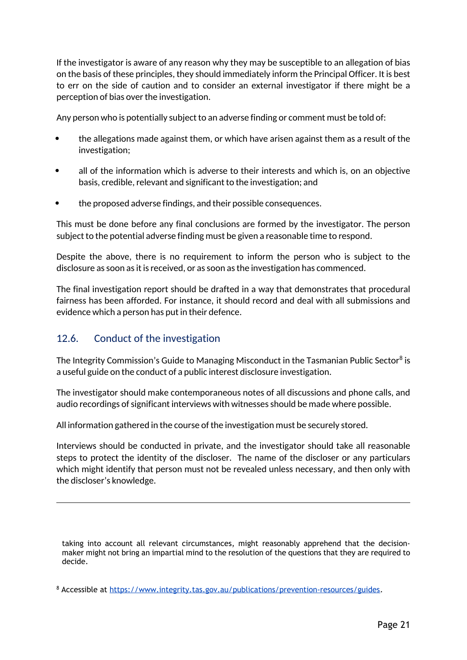If the investigator is aware of any reason why they may be susceptible to an allegation of bias on the basis of these principles, they should immediately inform the Principal Officer. It is best to err on the side of caution and to consider an external investigator if there might be a perception of bias over the investigation.

Any person who is potentially subject to an adverse finding or comment must be told of:

- the allegations made against them, or which have arisen against them as a result of the investigation;
- all of the information which is adverse to their interests and which is, on an objective basis, credible, relevant and significant to the investigation; and
- the proposed adverse findings, and their possible consequences.

This must be done before any final conclusions are formed by the investigator. The person subject to the potential adverse finding must be given a reasonable time to respond.

Despite the above, there is no requirement to inform the person who is subject to the disclosure as soon as it is received, or as soon as the investigation has commenced.

The final investigation report should be drafted in a way that demonstrates that procedural fairness has been afforded. For instance, it should record and deal with all submissions and evidence which a person has put in their defence.

#### 12.6. Conduct of the investigation

The Integrity Commission's Guide to Managing Misconduct in the Tasmanian Public Sector $^8$  is a useful guide on the conduct of a public interest disclosure investigation.

The investigator should make contemporaneous notes of all discussions and phone calls, and audio recordings of significant interviews with witnesses should be made where possible.

All information gathered in the course of the investigation must be securely stored.

Interviews should be conducted in private, and the investigator should take all reasonable steps to protect the identity of the discloser. The name of the discloser or any particulars which might identify that person must not be revealed unless necessary, and then only with the discloser's knowledge.

taking into account all relevant circumstances, might reasonably apprehend that the decisionmaker might not bring an impartial mind to the resolution of the questions that they are required to decide.

<sup>8</sup> Accessible at https://www.integrity.tas.gov.au/publications/prevention-resources/guides.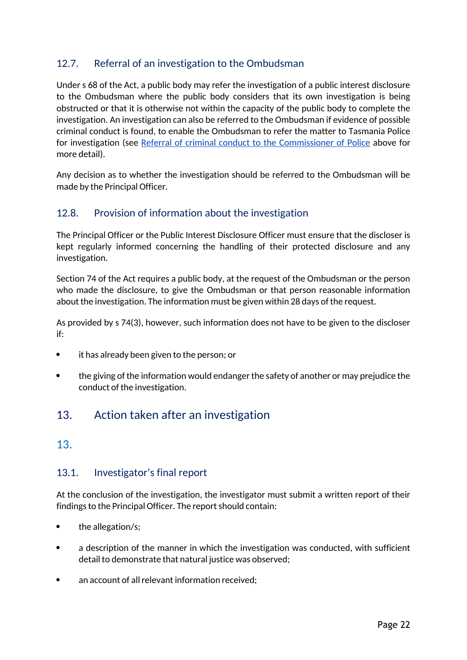## 12.7. Referral of an investigation to the Ombudsman

Under s 68 of the Act, a public body may refer the investigation of a public interest disclosure to the Ombudsman where the public body considers that its own investigation is being obstructed or that it is otherwise not within the capacity of the public body to complete the investigation. An investigation can also be referred to the Ombudsman if evidence of possible criminal conduct is found, to enable the Ombudsman to refer the matter to Tasmania Police for investigation (see Referral of criminal conduct to the Commissioner of Police above for more detail).

Any decision as to whether the investigation should be referred to the Ombudsman will be made by the Principal Officer.

### 12.8. Provision of information about the investigation

The Principal Officer or the Public Interest Disclosure Officer must ensure that the discloser is kept regularly informed concerning the handling of their protected disclosure and any investigation.

Section 74 of the Act requires a public body, at the request of the Ombudsman or the person who made the disclosure, to give the Ombudsman or that person reasonable information about the investigation. The information must be given within 28 days of the request.

As provided by s 74(3), however, such information does not have to be given to the discloser if:

- it has already been given to the person; or
- the giving of the information would endanger the safety of another or may prejudice the conduct of the investigation.

## 13. Action taken after an investigation

### 13.

#### 13.1. Investigator's final report

At the conclusion of the investigation, the investigator must submit a written report of their findings to the Principal Officer. The report should contain:

- the allegation/s;
- a description of the manner in which the investigation was conducted, with sufficient detail to demonstrate that natural justice was observed;
- an account of all relevant information received;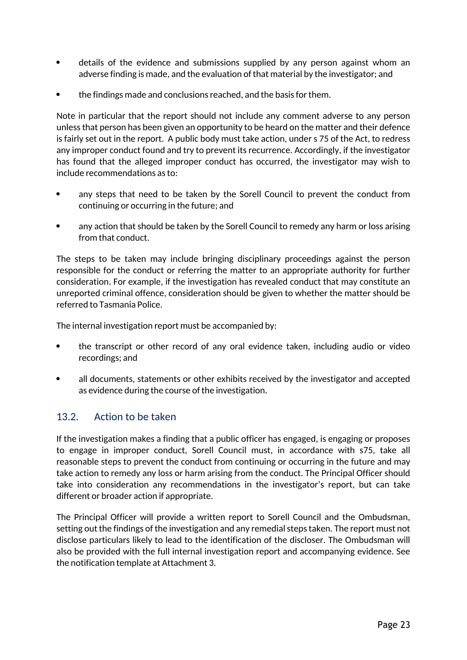- details of the evidence and submissions supplied by any person against whom an adverse finding is made, and the evaluation of that material by the investigator; and
- the findings made and conclusions reached, and the basis for them.

Note in particular that the report should not include any comment adverse to any person unless that person has been given an opportunity to be heard on the matter and their defence is fairly set out in the report. A public body must take action, under s 75 of the Act, to redress any improper conduct found and try to prevent its recurrence. Accordingly, if the investigator has found that the alleged improper conduct has occurred, the investigator may wish to include recommendations as to:

- any steps that need to be taken by the Sorell Council to prevent the conduct from continuing or occurring in the future; and
- any action that should be taken by the Sorell Council to remedy any harm or loss arising from that conduct.

The steps to be taken may include bringing disciplinary proceedings against the person responsible for the conduct or referring the matter to an appropriate authority for further consideration. For example, if the investigation has revealed conduct that may constitute an unreported criminal offence, consideration should be given to whether the matter should be referred to Tasmania Police.

The internal investigation report must be accompanied by:

- the transcript or other record of any oral evidence taken, including audio or video recordings; and
- all documents, statements or other exhibits received by the investigator and accepted as evidence during the course of the investigation.

### 13.2. Action to be taken

If the investigation makes a finding that a public officer has engaged, is engaging or proposes to engage in improper conduct, Sorell Council must, in accordance with s75, take all reasonable steps to prevent the conduct from continuing or occurring in the future and may take action to remedy any loss or harm arising from the conduct. The Principal Officer should take into consideration any recommendations in the investigator's report, but can take different or broader action if appropriate.

The Principal Officer will provide a written report to Sorell Council and the Ombudsman, setting out the findings of the investigation and any remedial steps taken. The report must not disclose particulars likely to lead to the identification of the discloser. The Ombudsman will also be provided with the full internal investigation report and accompanying evidence. See the notification template at Attachment 3.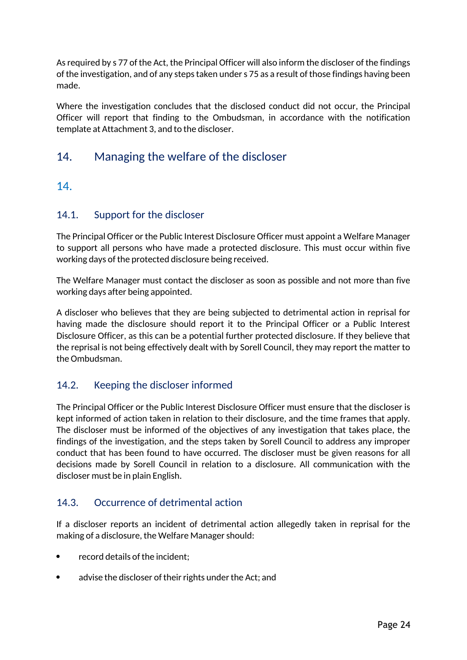As required by s 77 of the Act, the Principal Officer will also inform the discloser of the findings of the investigation, and of any steps taken under s 75 as a result of those findings having been made.

Where the investigation concludes that the disclosed conduct did not occur, the Principal Officer will report that finding to the Ombudsman, in accordance with the notification template at Attachment 3, and to the discloser.

## 14. Managing the welfare of the discloser

### 14.

#### 14.1. Support for the discloser

The Principal Officer or the Public Interest Disclosure Officer must appoint a Welfare Manager to support all persons who have made a protected disclosure. This must occur within five working days of the protected disclosure being received.

The Welfare Manager must contact the discloser as soon as possible and not more than five working days after being appointed.

A discloser who believes that they are being subjected to detrimental action in reprisal for having made the disclosure should report it to the Principal Officer or a Public Interest Disclosure Officer, as this can be a potential further protected disclosure. If they believe that the reprisal is not being effectively dealt with by Sorell Council, they may report the matter to the Ombudsman.

### 14.2. Keeping the discloser informed

The Principal Officer or the Public Interest Disclosure Officer must ensure that the discloser is kept informed of action taken in relation to their disclosure, and the time frames that apply. The discloser must be informed of the objectives of any investigation that takes place, the findings of the investigation, and the steps taken by Sorell Council to address any improper conduct that has been found to have occurred. The discloser must be given reasons for all decisions made by Sorell Council in relation to a disclosure. All communication with the discloser must be in plain English.

#### 14.3. Occurrence of detrimental action

If a discloser reports an incident of detrimental action allegedly taken in reprisal for the making of a disclosure, the Welfare Manager should:

- record details of the incident;
- advise the discloser of their rights under the Act; and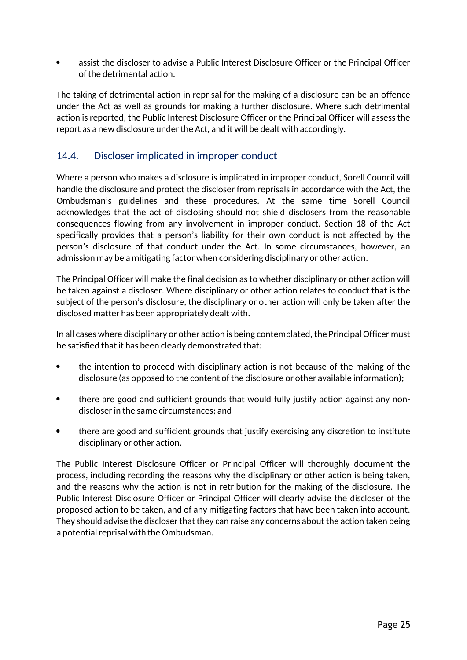assist the discloser to advise a Public Interest Disclosure Officer or the Principal Officer of the detrimental action.

The taking of detrimental action in reprisal for the making of a disclosure can be an offence under the Act as well as grounds for making a further disclosure. Where such detrimental action is reported, the Public Interest Disclosure Officer or the Principal Officer will assess the report as a new disclosure under the Act, and it will be dealt with accordingly.

### 14.4. Discloser implicated in improper conduct

Where a person who makes a disclosure is implicated in improper conduct, Sorell Council will handle the disclosure and protect the discloser from reprisals in accordance with the Act, the Ombudsman's guidelines and these procedures. At the same time Sorell Council acknowledges that the act of disclosing should not shield disclosers from the reasonable consequences flowing from any involvement in improper conduct. Section 18 of the Act specifically provides that a person's liability for their own conduct is not affected by the person's disclosure of that conduct under the Act. In some circumstances, however, an admission may be a mitigating factor when considering disciplinary or other action.

The Principal Officer will make the final decision as to whether disciplinary or other action will be taken against a discloser. Where disciplinary or other action relates to conduct that is the subject of the person's disclosure, the disciplinary or other action will only be taken after the disclosed matter has been appropriately dealt with.

In all cases where disciplinary or other action is being contemplated, the Principal Officer must be satisfied that it has been clearly demonstrated that:

- the intention to proceed with disciplinary action is not because of the making of the disclosure (as opposed to the content of the disclosure or other available information);
- there are good and sufficient grounds that would fully justify action against any nondiscloser in the same circumstances; and
- there are good and sufficient grounds that justify exercising any discretion to institute disciplinary or other action.

The Public Interest Disclosure Officer or Principal Officer will thoroughly document the process, including recording the reasons why the disciplinary or other action is being taken, and the reasons why the action is not in retribution for the making of the disclosure. The Public Interest Disclosure Officer or Principal Officer will clearly advise the discloser of the proposed action to be taken, and of any mitigating factors that have been taken into account. They should advise the discloser that they can raise any concerns about the action taken being a potential reprisal with the Ombudsman.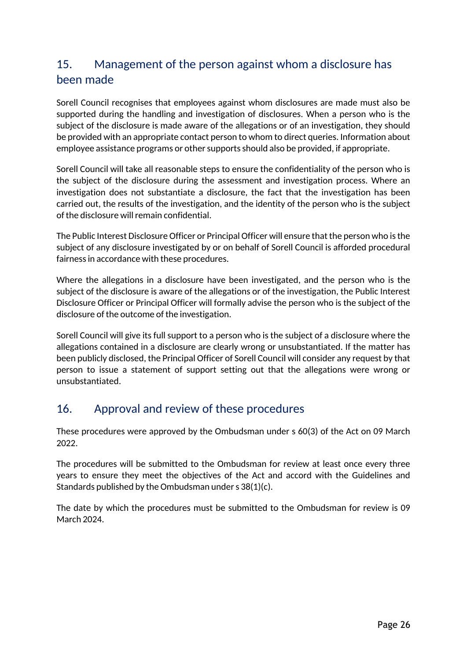## 15. Management of the person against whom a disclosure has been made

Sorell Council recognises that employees against whom disclosures are made must also be supported during the handling and investigation of disclosures. When a person who is the subject of the disclosure is made aware of the allegations or of an investigation, they should be provided with an appropriate contact person to whom to direct queries. Information about employee assistance programs or other supports should also be provided, if appropriate.

Sorell Council will take all reasonable steps to ensure the confidentiality of the person who is the subject of the disclosure during the assessment and investigation process. Where an investigation does not substantiate a disclosure, the fact that the investigation has been carried out, the results of the investigation, and the identity of the person who is the subject of the disclosure will remain confidential.

The Public Interest Disclosure Officer or Principal Officer will ensure that the person who is the subject of any disclosure investigated by or on behalf of Sorell Council is afforded procedural fairness in accordance with these procedures.

Where the allegations in a disclosure have been investigated, and the person who is the subject of the disclosure is aware of the allegations or of the investigation, the Public Interest Disclosure Officer or Principal Officer will formally advise the person who is the subject of the disclosure of the outcome of the investigation.

Sorell Council will give its full support to a person who is the subject of a disclosure where the allegations contained in a disclosure are clearly wrong or unsubstantiated. If the matter has been publicly disclosed, the Principal Officer of Sorell Council will consider any request by that person to issue a statement of support setting out that the allegations were wrong or unsubstantiated.

## 16. Approval and review of these procedures

These procedures were approved by the Ombudsman under s 60(3) of the Act on 09 March 2022.

The procedures will be submitted to the Ombudsman for review at least once every three years to ensure they meet the objectives of the Act and accord with the Guidelines and Standards published by the Ombudsman under s 38(1)(c).

The date by which the procedures must be submitted to the Ombudsman for review is 09 March 2024.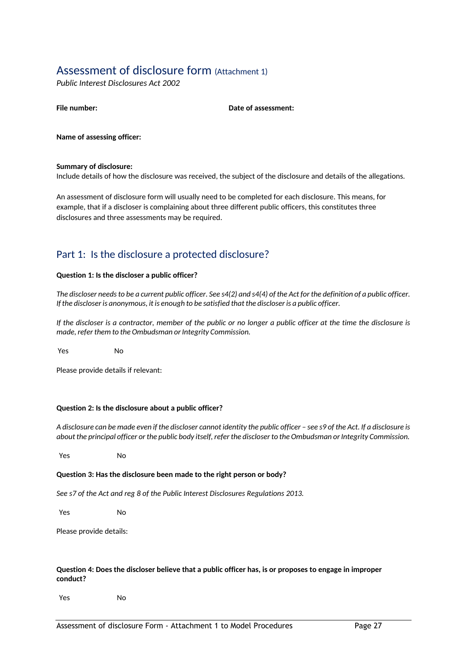## Assessment of disclosure form (Attachment 1)

*Public Interest Disclosures Act 2002*

**Date of assessment:** 

**Name of assessing officer:**

#### **Summary of disclosure:**

Include details of how the disclosure was received, the subject of the disclosure and details of the allegations.

An assessment of disclosure form will usually need to be completed for each disclosure. This means, for example, that if a discloser is complaining about three different public officers, this constitutes three disclosures and three assessments may be required.

### Part 1: Is the disclosure a protected disclosure?

#### **Question 1: Is the discloser a public officer?**

*The discloser needs to be a current public officer. See s4(2) and s4(4) of the Act for the definition of a public officer. If the discloser is anonymous, it is enough to be satisfied that the discloser is a public officer.*

*If the discloser is a contractor, member of the public or no longer a public officer at the time the disclosure is made, refer them to the Ombudsman or Integrity Commission.*

Yes No

Please provide details if relevant:

#### **Question 2: Is the disclosure about a public officer?**

*A disclosure can be made even if the discloser cannot identity the public officer – see s9 of the Act. If a disclosure is about the principal officer or the public body itself, refer the discloser to the Ombudsman or Integrity Commission.*

Yes No

#### **Question 3: Has the disclosure been made to the right person or body?**

*See s7 of the Act and reg 8 of the Public Interest Disclosures Regulations 2013.*

Yes No

Please provide details:

#### **Question 4: Does the discloser believe that a public officer has, is or proposes to engage in improper conduct?**

Yes No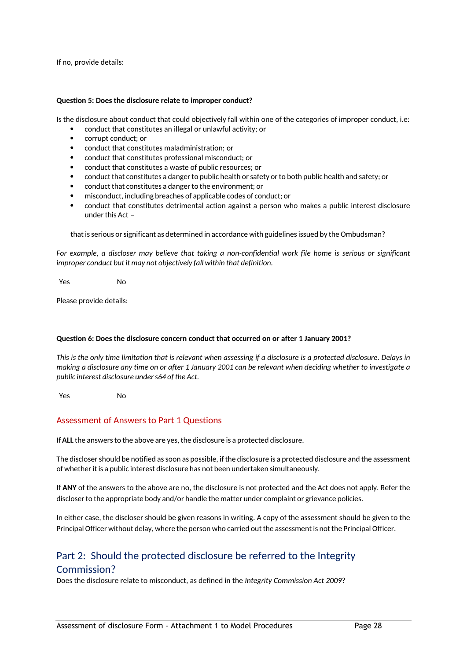If no, provide details:

#### **Question 5: Does the disclosure relate to improper conduct?**

Is the disclosure about conduct that could objectively fall within one of the categories of improper conduct, i.e:

- conduct that constitutes an illegal or unlawful activity; or
- corrupt conduct; or
- conduct that constitutes maladministration; or
- conduct that constitutes professional misconduct; or
- conduct that constitutes a waste of public resources; or
- conduct that constitutes a danger to public health or safety or to both public health and safety; or
- conduct that constitutes a danger to the environment; or
- misconduct, including breaches of applicable codes of conduct; or
- conduct that constitutes detrimental action against a person who makes a public interest disclosure under this Act –

that is serious or significant as determined in accordance with guidelines issued by the Ombudsman?

*For example, a discloser may believe that taking a non-confidential work file home is serious or significant improper conduct but it may not objectively fall within that definition.*

Yes No

Please provide details:

#### **Question 6: Does the disclosure concern conduct that occurred on or after 1 January 2001?**

*This is the only time limitation that is relevant when assessing if a disclosure is a protected disclosure. Delays in making a disclosure any time on or after 1 January 2001 can be relevant when deciding whether to investigate a public interest disclosure under s64 of the Act.*

Yes No

#### Assessment of Answers to Part 1 Questions

If **ALL** the answers to the above are yes, the disclosure is a protected disclosure.

The discloser should be notified as soon as possible, if the disclosure is a protected disclosure and the assessment of whether it is a public interest disclosure has not been undertaken simultaneously.

If **ANY** of the answers to the above are no, the disclosure is not protected and the Act does not apply. Refer the discloser to the appropriate body and/or handle the matter under complaint or grievance policies.

In either case, the discloser should be given reasons in writing. A copy of the assessment should be given to the Principal Officer without delay, where the person who carried out the assessment is not the Principal Officer.

### Part 2: Should the protected disclosure be referred to the Integrity Commission?

Does the disclosure relate to misconduct, as defined in the *Integrity Commission Act 2009*?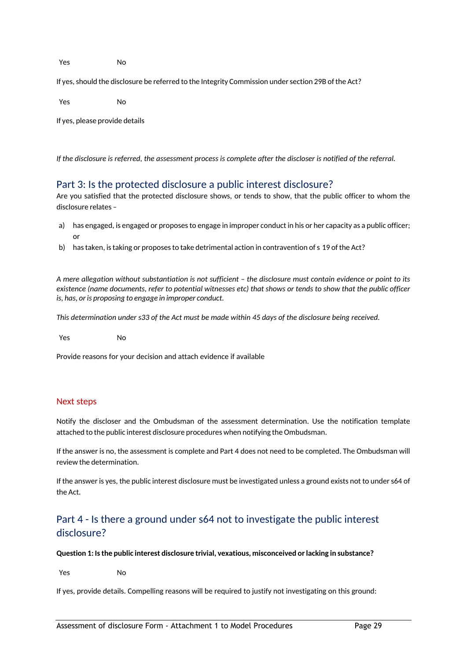Yes No

If yes, should the disclosure be referred to the Integrity Commission under section 29B of the Act?

Yes No

If yes, please provide details

*If the disclosure is referred, the assessment process is complete after the discloser is notified of the referral.*

#### Part 3: Is the protected disclosure a public interest disclosure?

Are you satisfied that the protected disclosure shows, or tends to show, that the public officer to whom the disclosure relates –

- a) has engaged, is engaged or proposes to engage in improper conduct in his or her capacity as a public officer; or
- b) has taken, is taking or proposes to take detrimental action in contravention of s 19 of the Act?

*A mere allegation without substantiation is not sufficient – the disclosure must contain evidence or point to its existence (name documents, refer to potential witnesses etc) that shows or tends to show that the public officer is, has, or is proposing to engage in improper conduct.*

*This determination under s33 of the Act must be made within 45 days of the disclosure being received.*

Yes No

Provide reasons for your decision and attach evidence if available

#### Next steps

Notify the discloser and the Ombudsman of the assessment determination. Use the notification template attached to the public interest disclosure procedures when notifying the Ombudsman.

If the answer is no, the assessment is complete and Part 4 does not need to be completed. The Ombudsman will review the determination.

If the answer is yes, the public interest disclosure must be investigated unless a ground exists not to under s64 of the Act.

### Part 4 - Is there a ground under s64 not to investigate the public interest disclosure?

#### **Question 1: Is the public interest disclosure trivial, vexatious, misconceived or lacking in substance?**

Yes No

If yes, provide details. Compelling reasons will be required to justify not investigating on this ground: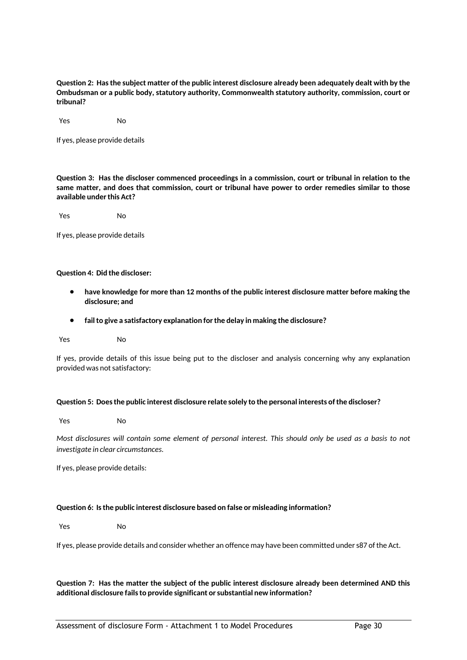**Question 2: Has the subject matter of the public interest disclosure already been adequately dealt with by the Ombudsman or a public body, statutory authority, Commonwealth statutory authority, commission, court or tribunal?**

Yes No

If yes, please provide details

**Question 3: Has the discloser commenced proceedings in a commission, court or tribunal in relation to the same matter, and does that commission, court or tribunal have power to order remedies similar to those available under this Act?**

Yes No

If yes, please provide details

#### **Question 4: Did the discloser:**

- **have knowledge for more than 12 months of the public interest disclosure matter before making the disclosure; and**
- **fail to give a satisfactory explanation for the delay in making the disclosure?**
- Yes No

If yes, provide details of this issue being put to the discloser and analysis concerning why any explanation provided was not satisfactory:

#### **Question 5: Does the public interest disclosure relate solely to the personal interests of the discloser?**

Yes No

*Most disclosures will contain some element of personal interest. This should only be used as a basis to not investigate in clear circumstances.*

If yes, please provide details:

#### **Question 6: Is the public interest disclosure based on false or misleading information?**

Yes No

If yes, please provide details and consider whether an offence may have been committed under s87 of the Act.

#### **Question 7: Has the matter the subject of the public interest disclosure already been determined AND this additional disclosure fails to provide significant or substantial new information?**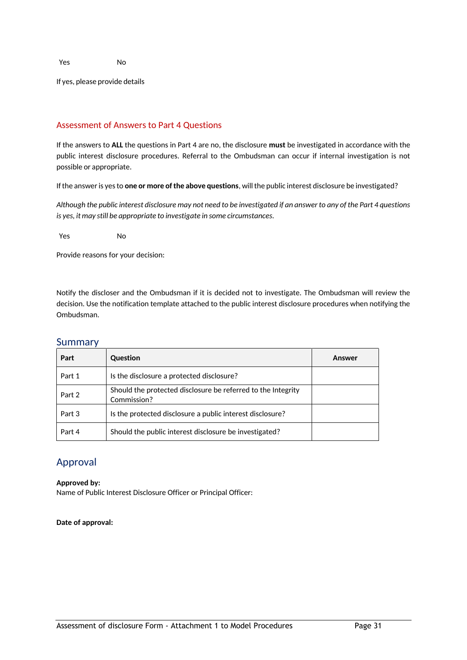If yes, please provide details

#### Assessment of Answers to Part 4 Questions

If the answers to **ALL** the questions in Part 4 are no, the disclosure **must** be investigated in accordance with the public interest disclosure procedures. Referral to the Ombudsman can occur if internal investigation is not possible or appropriate.

If the answer is yes to **one or more of the above questions**, will the public interest disclosure be investigated?

*Although the public interest disclosure may not need to be investigated if an answer to any of the Part 4 questions is yes, it may still be appropriate to investigate in some circumstances.*

Yes No

Provide reasons for your decision:

Notify the discloser and the Ombudsman if it is decided not to investigate. The Ombudsman will review the decision. Use the notification template attached to the public interest disclosure procedures when notifying the Ombudsman.

| Part   | <b>Question</b>                                                             | Answer |
|--------|-----------------------------------------------------------------------------|--------|
| Part 1 | Is the disclosure a protected disclosure?                                   |        |
| Part 2 | Should the protected disclosure be referred to the Integrity<br>Commission? |        |
| Part 3 | Is the protected disclosure a public interest disclosure?                   |        |
| Part 4 | Should the public interest disclosure be investigated?                      |        |

#### Summary

#### Approval

**Approved by:** Name of Public Interest Disclosure Officer or Principal Officer:

**Date of approval:**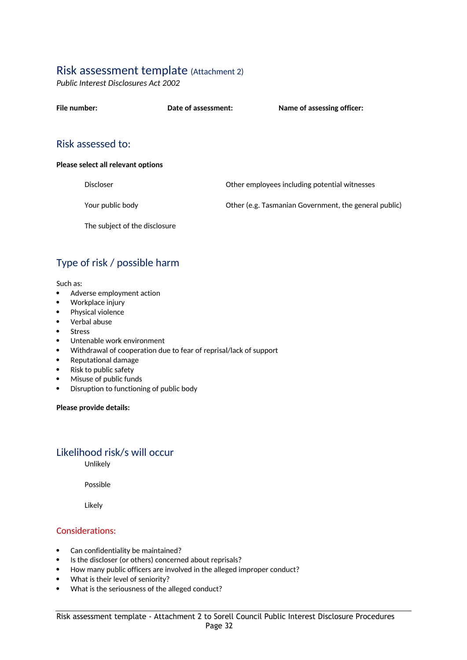### Risk assessment template (Attachment 2)

*Public Interest Disclosures Act 2002*

| File number:      | Date of assessment: | Name of assessing officer: |
|-------------------|---------------------|----------------------------|
| Risk assessed to: |                     |                            |

#### **Please select all relevant options**

Discloser Other employees including potential witnesses

Your public body Other (e.g. Tasmanian Government, the general public)

The subject of the disclosure

## Type of risk / possible harm

Such as:

- Adverse employment action
- Workplace injury
- Physical violence<br>• Verbal abuse
- Verbal abuse
- Stress
- Untenable work environment
- Withdrawal of cooperation due to fear of reprisal/lack of support
- Reputational damage
- Risk to public safety
- Misuse of public funds
- Disruption to functioning of public body

#### **Please provide details:**

#### Likelihood risk/s will occur

Unlikely

Possible

Likely

#### Considerations:

- Can confidentiality be maintained?
- Is the discloser (or others) concerned about reprisals?
- How many public officers are involved in the alleged improper conduct?
- What is their level of seniority?
- What is the seriousness of the alleged conduct?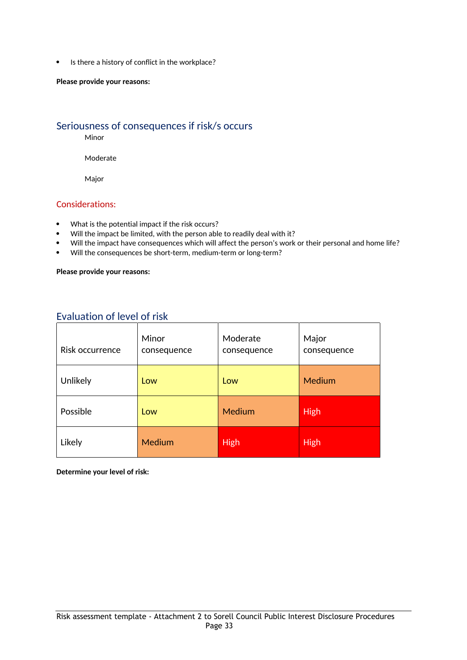• Is there a history of conflict in the workplace?

#### **Please provide your reasons:**

#### Seriousness of consequences if risk/s occurs

Minor

Moderate

Major

#### Considerations:

- What is the potential impact if the risk occurs?
- Will the impact be limited, with the person able to readily deal with it?
- Will the impact have consequences which will affect the person's work or their personal and home life?
- Will the consequences be short-term, medium-term or long-term?

#### **Please provide your reasons:**

### Evaluation of level of risk

| Risk occurrence | Minor<br>consequence | Moderate<br>consequence | Major<br>consequence |
|-----------------|----------------------|-------------------------|----------------------|
| Unlikely        | Low                  | Low                     | Medium               |
| Possible        | Low                  | <b>Medium</b>           | <b>High</b>          |
| Likely          | <b>Medium</b>        | <b>High</b>             | <b>High</b>          |

**Determine your level of risk:**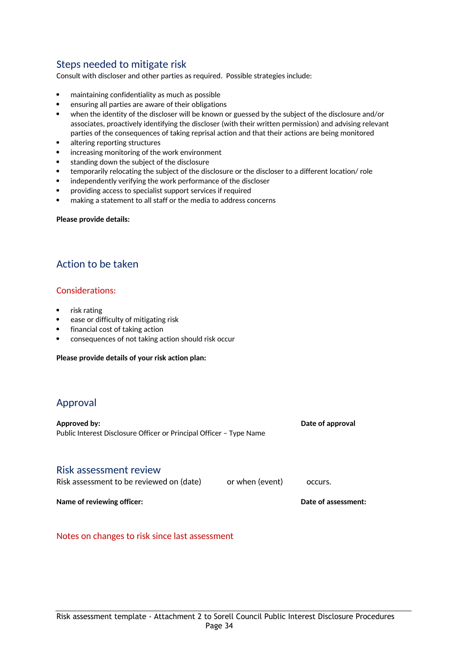### Steps needed to mitigate risk

Consult with discloser and other parties as required. Possible strategies include:

- maintaining confidentiality as much as possible
- ensuring all parties are aware of their obligations
- when the identity of the discloser will be known or guessed by the subject of the disclosure and/or associates, proactively identifying the discloser (with their written permission) and advising relevant parties of the consequences of taking reprisal action and that their actions are being monitored
- altering reporting structures
- increasing monitoring of the work environment
- standing down the subject of the disclosure
- temporarily relocating the subject of the disclosure or the discloser to a different location/ role
- independently verifying the work performance of the discloser
- providing access to specialist support services if required
- making a statement to all staff or the media to address concerns

#### **Please provide details:**

### Action to be taken

#### Considerations:

- risk rating
- ease or difficulty of mitigating risk
- financial cost of taking action
- consequences of not taking action should risk occur

#### **Please provide details of your risk action plan:**

#### Approval

| Approved by:<br>Public Interest Disclosure Officer or Principal Officer - Type Name | Date of approval |  |
|-------------------------------------------------------------------------------------|------------------|--|
|                                                                                     |                  |  |

#### Risk assessment review

| Risk assessment to be reviewed on (date) | or when (event) | occurs. |  |
|------------------------------------------|-----------------|---------|--|
|                                          |                 |         |  |

**Name of reviewing officer:**  $\qquad \qquad$  **Name of assessment:** 

Notes on changes to risk since last assessment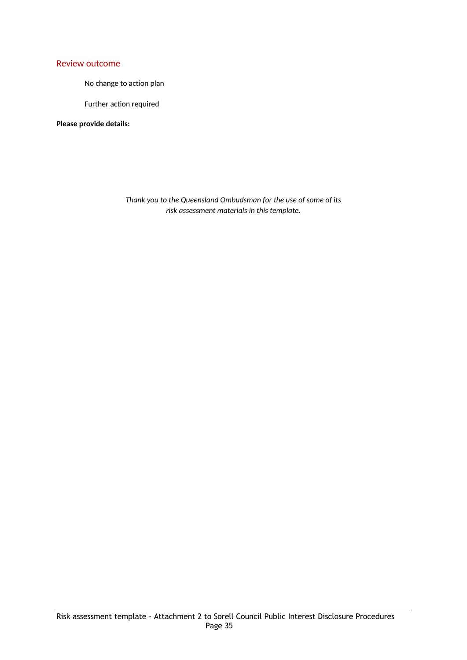#### Review outcome

No change to action plan

Further action required

**Please provide details:**

*Thank you to the Queensland Ombudsman for the use of some of its risk assessment materials in this template.*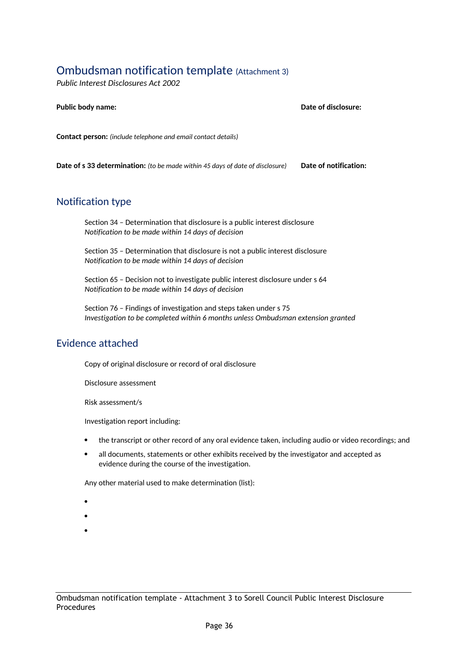## Ombudsman notification template (Attachment 3)

*Public Interest Disclosures Act 2002*

| <b>Public body name:</b>                                                      | Date of disclosure:   |
|-------------------------------------------------------------------------------|-----------------------|
| <b>Contact person:</b> (include telephone and email contact details)          |                       |
| Date of s 33 determination: (to be made within 45 days of date of disclosure) | Date of notification: |

#### Notification type

Section 34 – Determination that disclosure is a public interest disclosure *Notification to be made within 14 days of decision*

Section 35 – Determination that disclosure is not a public interest disclosure *Notification to be made within 14 days of decision*

Section 65 – Decision not to investigate public interest disclosure under s 64 *Notification to be made within 14 days of decision*

Section 76 – Findings of investigation and steps taken under s 75 *Investigation to be completed within 6 months unless Ombudsman extension granted*

#### Evidence attached

Copy of original disclosure or record of oral disclosure

Disclosure assessment

Risk assessment/s

Investigation report including:

- the transcript or other record of any oral evidence taken, including audio or video recordings; and
- all documents, statements or other exhibits received by the investigator and accepted as evidence during the course of the investigation.

Any other material used to make determination (list):

- $\bullet$  and  $\bullet$
- $\bullet$  and  $\bullet$
- $\bullet$  and  $\bullet$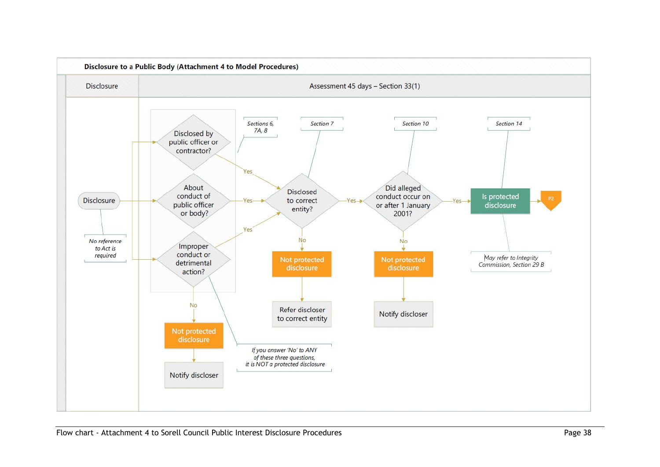